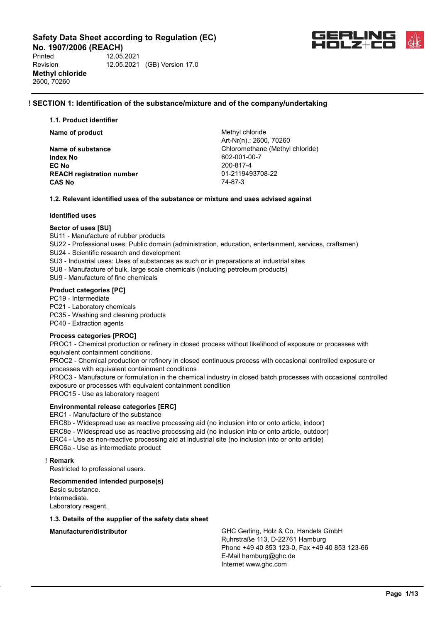**No. 1907/2006 (REACH)**<br>Printed 12.05 Printed 12.05.2021 Revision 12.05.2021 (GB) Version 17.0 **Methyl chloride** 2600, 70260



### **! SECTION 1: Identification of the substance/mixture and of the company/undertaking**

**1.1. Product identifier**

**Name of product** Methyl chloride

**Index No** 602-001-00-7 **EC No** 200-817-4 **REACH registration number** 01-2119493708-22 **CAS No** 74-87-3

Art-Nr(n).: 2600, 70260 **Name of substance Chloromethane (Methyl chloride)** 

#### **1.2. Relevant identified uses of the substance or mixture and uses advised against**

#### **Identified uses**

#### **Sector of uses [SU]**

SU11 - Manufacture of rubber products

- SU22 Professional uses: Public domain (administration, education, entertainment, services, craftsmen)
- SU24 Scientific research and development
- SU3 Industrial uses: Uses of substances as such or in preparations at industrial sites
- SU8 Manufacture of bulk, large scale chemicals (including petroleum products)

SU9 - Manufacture of fine chemicals

#### **Product categories [PC]**

PC19 - Intermediate

PC21 - Laboratory chemicals

PC35 - Washing and cleaning products

PC40 - Extraction agents

#### **Process categories [PROC]**

PROC1 - Chemical production or refinery in closed process without likelihood of exposure or processes with equivalent containment conditions.

PROC2 - Chemical production or refinery in closed continuous process with occasional controlled exposure or processes with equivalent containment conditions

PROC3 - Manufacture or formulation in the chemical industry in closed batch processes with occasional controlled exposure or processes with equivalent containment condition

PROC15 - Use as laboratory reagent

#### **Environmental release categories [ERC]**

ERC1 - Manufacture of the substance

ERC8b - Widespread use as reactive processing aid (no inclusion into or onto article, indoor) ERC8e - Widespread use as reactive processing aid (no inclusion into or onto article, outdoor) ERC4 - Use as non-reactive processing aid at industrial site (no inclusion into or onto article) ERC6a - Use as intermediate product

#### ! **Remark**

Restricted to professional users.

#### **Recommended intended purpose(s)**

Basic substance. Intermediate. Laboratory reagent.

#### **1.3. Details of the supplier of the safety data sheet**

**Manufacturer/distributor GHC Gerling, Holz & Co. Handels GmbH** Ruhrstraße 113, D-22761 Hamburg Phone +49 40 853 123-0, Fax +49 40 853 123-66 E-Mail hamburg@ghc.de Internet www.ghc.com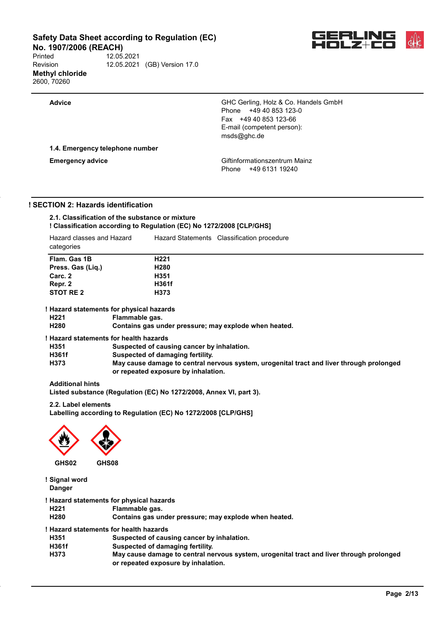**No. 1907/2006 (REACH)**<br>Printed 12.05. Printed 12.05.2021 Revision 12.05.2021 (GB) Version 17.0 **Methyl chloride** 2600, 70260



**Advice** GHC Gerling, Holz & Co. Handels GmbH Phone +49 40 853 123-0 Fax +49 40 853 123-66 E-mail (competent person): msds@ghc.de

**1.4. Emergency telephone number**

**Emergency advice Emergency advice Emergency advice Giftinformationszentrum Mainz** Phone +49 6131 19240

### **! SECTION 2: Hazards identification**

| 2.1. Classification of the substance or mixture                      |
|----------------------------------------------------------------------|
| ! Classification according to Regulation (EC) No 1272/2008 [CLP/GHS] |

| Hazard classes and Hazard<br>categories |                                          | Hazard Statements Classification procedure                                               |  |
|-----------------------------------------|------------------------------------------|------------------------------------------------------------------------------------------|--|
| Flam. Gas 1B                            |                                          | H <sub>221</sub>                                                                         |  |
| Press. Gas (Lig.)                       |                                          | H <sub>280</sub>                                                                         |  |
| Carc. 2                                 |                                          | H351                                                                                     |  |
| Repr. 2                                 |                                          | H361f                                                                                    |  |
| STOT RE 2                               |                                          | H373                                                                                     |  |
|                                         | ! Hazard statements for physical hazards |                                                                                          |  |
| H <sub>221</sub>                        | Flammable gas.                           |                                                                                          |  |
| H280                                    |                                          | Contains gas under pressure; may explode when heated.                                    |  |
|                                         | ! Hazard statements for health hazards   |                                                                                          |  |
| H351                                    |                                          | Suspected of causing cancer by inhalation.                                               |  |
| H361f                                   |                                          | Suspected of damaging fertility.                                                         |  |
| H373                                    |                                          | May cause damage to central nervous system, urogenital tract and liver through prolonged |  |

#### **Additional hints**

**Listed substance (Regulation (EC) No 1272/2008, Annex VI, part 3).**

**or repeated exposure by inhalation.**

**2.2. Label elements**

**Labelling according to Regulation (EC) No 1272/2008 [CLP/GHS]**



**! Signal word Danger**

**! Hazard statements for physical hazards**

- 
- **H221 Flammable gas.** Contains gas under pressure; may explode when heated.
- **! Hazard statements for health hazards**
- **H351 Suspected of causing cancer by inhalation.**
- 
- **H361f Suspected of damaging fertility. H373 May cause damage to central nervous system, urogenital tract and liver through prolonged or repeated exposure by inhalation.**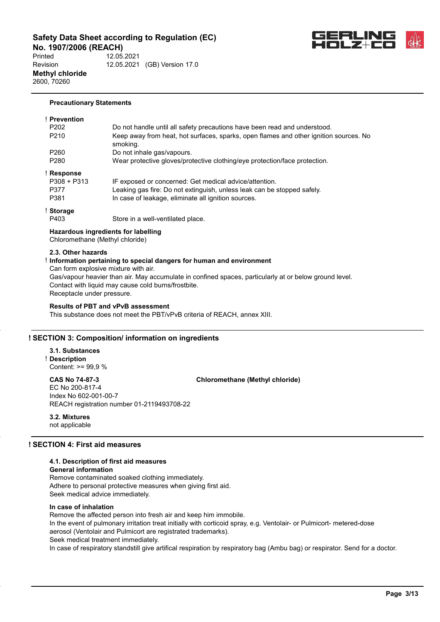**No. 1907/2006 (REACH)**<br>Printed 12.05. Printed 12.05.2021 Revision 12.05.2021 (GB) Version 17.0 **Methyl chloride** 2600, 70260



#### **Precautionary Statements**

| <b>Prevention</b> |                                                                                                   |
|-------------------|---------------------------------------------------------------------------------------------------|
| P <sub>202</sub>  | Do not handle until all safety precautions have been read and understood.                         |
| P <sub>210</sub>  | Keep away from heat, hot surfaces, sparks, open flames and other ignition sources. No<br>smoking. |
| P <sub>260</sub>  | Do not inhale gas/vapours.                                                                        |
| P <sub>280</sub>  | Wear protective gloves/protective clothing/eye protection/face protection.                        |
| <b>Response</b>   |                                                                                                   |
| $P308 + P313$     | IF exposed or concerned: Get medical advice/attention.                                            |
| P377              | Leaking gas fire: Do not extinguish, unless leak can be stopped safely.                           |
| P381              | In case of leakage, eliminate all ignition sources.                                               |
| <b>Storage</b>    |                                                                                                   |
| P403              | Store in a well-ventilated place.                                                                 |
|                   |                                                                                                   |

**Hazardous ingredients for labelling** Chloromethane (Methyl chloride)

#### **2.3. Other hazards**

# ! **Information pertaining to special dangers for human and environment**

Can form explosive mixture with air.

Gas/vapour heavier than air. May accumulate in confined spaces, particularly at or below ground level. Contact with liquid may cause cold burns/frostbite. Receptacle under pressure.

#### **Results of PBT and vPvB assessment**

This substance does not meet the PBT/vPvB criteria of REACH, annex XIII.

#### **! SECTION 3: Composition/ information on ingredients**

**3.1. Substances** ! **Description** Content: >= 99,9 %

**CAS No 74-87-3 Chloromethane (Methyl chloride)** EC No 200-817-4 Index No 602-001-00-7 REACH registration number 01-2119493708-22

**3.2. Mixtures** not applicable

### **! SECTION 4: First aid measures**

#### **4.1. Description of first aid measures**

**General information**

Remove contaminated soaked clothing immediately. Adhere to personal protective measures when giving first aid. Seek medical advice immediately.

#### **In case of inhalation**

Remove the affected person into fresh air and keep him immobile. In the event of pulmonary irritation treat initially with corticoid spray, e.g. Ventolair- or Pulmicort- metered-dose aerosol (Ventolair and Pulmicort are registrated trademarks). Seek medical treatment immediately. In case of respiratory standstill give artifical respiration by respiratory bag (Ambu bag) or respirator. Send for a doctor.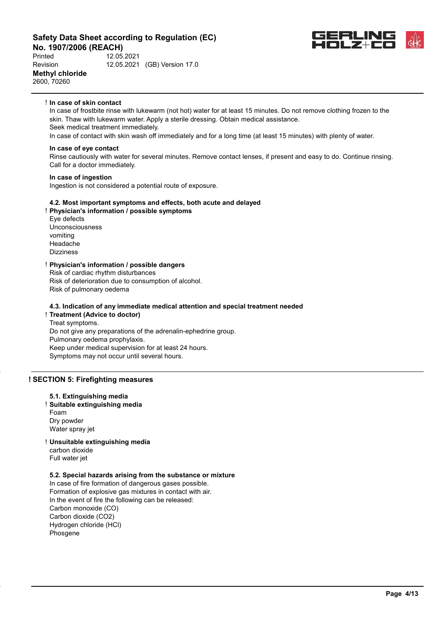**No. 1907/2006 (REACH)**<br>Printed 12.05 Printed 12.05.2021 Revision 12.05.2021 (GB) Version 17.0 **Methyl chloride** 2600, 70260



#### ! **In case of skin contact**

In case of frostbite rinse with lukewarm (not hot) water for at least 15 minutes. Do not remove clothing frozen to the skin. Thaw with lukewarm water. Apply a sterile dressing. Obtain medical assistance. Seek medical treatment immediately. In case of contact with skin wash off immediately and for a long time (at least 15 minutes) with plenty of water.

#### **In case of eye contact**

Rinse cautiously with water for several minutes. Remove contact lenses, if present and easy to do. Continue rinsing. Call for a doctor immediately.

#### **In case of ingestion**

Ingestion is not considered a potential route of exposure.

#### **4.2. Most important symptoms and effects, both acute and delayed**

- ! **Physician's information / possible symptoms**
- Eye defects Unconsciousness vomiting Headache **Dizzinges**

#### ! **Physician's information / possible dangers**

Risk of cardiac rhythm disturbances Risk of deterioration due to consumption of alcohol. Risk of pulmonary oedema

#### **4.3. Indication of any immediate medical attention and special treatment needed**

#### ! **Treatment (Advice to doctor)**

Treat symptoms. Do not give any preparations of the adrenalin-ephedrine group. Pulmonary oedema prophylaxis. Keep under medical supervision for at least 24 hours. Symptoms may not occur until several hours.

#### **! SECTION 5: Firefighting measures**

#### **5.1. Extinguishing media**

! **Suitable extinguishing media** Foam

Dry powder Water spray jet

! **Unsuitable extinguishing media** carbon dioxide

Full water jet

#### **5.2. Special hazards arising from the substance or mixture**

In case of fire formation of dangerous gases possible. Formation of explosive gas mixtures in contact with air. In the event of fire the following can be released: Carbon monoxide (CO) Carbon dioxide (CO2) Hydrogen chloride (HCl) Phosgene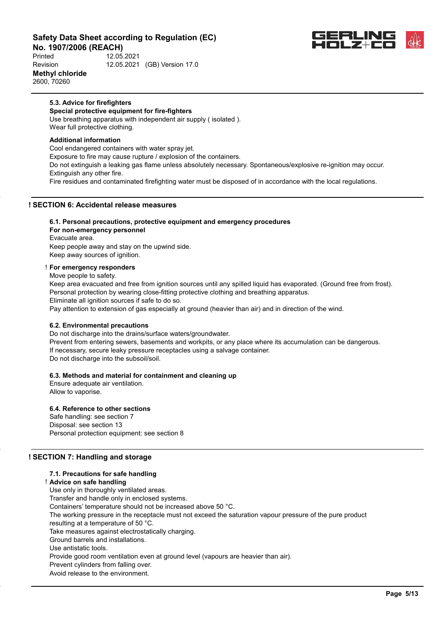**No. 1907/2006 (REACH)**<br>Printed 12.05. Printed 12.05.2021 Revision 12.05.2021 (GB) Version 17.0 **Methyl chloride** 2600, 70260



#### **5.3. Advice for firefighters**

**Special protective equipment for fire-fighters** Use breathing apparatus with independent air supply ( isolated ). Wear full protective clothing.

#### **Additional information**

Cool endangered containers with water spray jet. Exposure to fire may cause rupture / explosion of the containers. Do not extinguish a leaking gas flame unless absolutely necessary. Spontaneous/explosive re-ignition may occur. Extinguish any other fire. Fire residues and contaminated firefighting water must be disposed of in accordance with the local regulations.

### **! SECTION 6: Accidental release measures**

#### **6.1. Personal precautions, protective equipment and emergency procedures For non-emergency personnel**

Evacuate area. Keep people away and stay on the upwind side. Keep away sources of ignition.

#### ! **For emergency responders**

Move people to safety.

Keep area evacuated and free from ignition sources until any spilled liquid has evaporated. (Ground free from frost). Personal protection by wearing close-fitting protective clothing and breathing apparatus.

Eliminate all ignition sources if safe to do so.

Pay attention to extension of gas especially at ground (heavier than air) and in direction of the wind.

#### **6.2. Environmental precautions**

Do not discharge into the drains/surface waters/groundwater.

Prevent from entering sewers, basements and workpits, or any place where its accumulation can be dangerous. If necessary, secure leaky pressure receptacles using a salvage container. Do not discharge into the subsoil/soil.

#### **6.3. Methods and material for containment and cleaning up**

Ensure adequate air ventilation. Allow to vaporise.

# **6.4. Reference to other sections**

Safe handling: see section 7 Disposal: see section 13 Personal protection equipment: see section 8

# **! SECTION 7: Handling and storage**

#### **7.1. Precautions for safe handling**

! **Advice on safe handling** Use only in thoroughly ventilated areas. Transfer and handle only in enclosed systems. Containers' temperature should not be increased above 50 °C. The working pressure in the receptacle must not exceed the saturation vapour pressure of the pure product resulting at a temperature of 50 °C. Take measures against electrostatically charging. Ground barrels and installations. Use antistatic tools. Provide good room ventilation even at ground level (vapours are heavier than air). Prevent cylinders from falling over. Avoid release to the environment.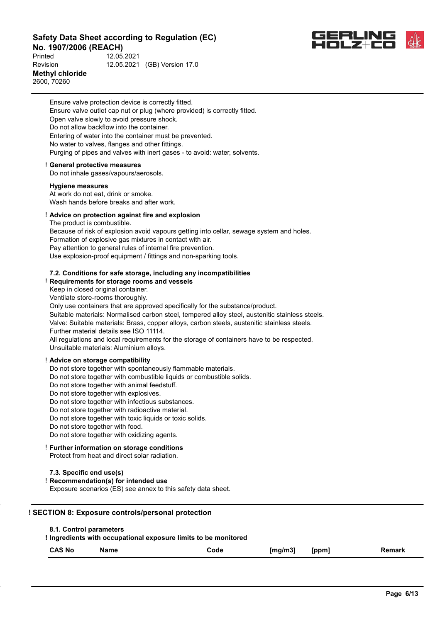**No. 1907/2006 (REACH)**<br>Printed 12.05 Printed 12.05.2021 Revision 12.05.2021 (GB) Version 17.0 **Methyl chloride**

2600, 70260



Ensure valve protection device is correctly fitted. Ensure valve outlet cap nut or plug (where provided) is correctly fitted. Open valve slowly to avoid pressure shock. Do not allow backflow into the container. Entering of water into the container must be prevented. No water to valves, flanges and other fittings. Purging of pipes and valves with inert gases - to avoid: water, solvents.

#### ! **General protective measures**

Do not inhale gases/vapours/aerosols.

#### **Hygiene measures**

At work do not eat, drink or smoke. Wash hands before breaks and after work.

#### ! **Advice on protection against fire and explosion**

The product is combustible.

Because of risk of explosion avoid vapours getting into cellar, sewage system and holes. Formation of explosive gas mixtures in contact with air. Pay attention to general rules of internal fire prevention. Use explosion-proof equipment / fittings and non-sparking tools.

#### **7.2. Conditions for safe storage, including any incompatibilities**

! **Requirements for storage rooms and vessels**

Keep in closed original container.

Ventilate store-rooms thoroughly.

Only use containers that are approved specifically for the substance/product.

Suitable materials: Normalised carbon steel, tempered alloy steel, austenitic stainless steels.

Valve: Suitable materials: Brass, copper alloys, carbon steels, austenitic stainless steels.

Further material details see ISO 11114.

All regulations and local requirements for the storage of containers have to be respected. Unsuitable materials: Aluminium alloys.

#### ! **Advice on storage compatibility**

Do not store together with spontaneously flammable materials.

Do not store together with combustible liquids or combustible solids.

- Do not store together with animal feedstuff.
- Do not store together with explosives.

Do not store together with infectious substances.

Do not store together with radioactive material.

Do not store together with toxic liquids or toxic solids.

Do not store together with food.

Do not store together with oxidizing agents.

#### ! **Further information on storage conditions**

Protect from heat and direct solar radiation.

#### **7.3. Specific end use(s)**

! **Recommendation(s) for intended use**

Exposure scenarios (ES) see annex to this safety data sheet.

#### **! SECTION 8: Exposure controls/personal protection**

**! Ingredients with occupational exposure limits to be monitored**

| <b>CAS No</b> | Name<br>_________ | Code | [mg/m3] | [ppm] | Remark |
|---------------|-------------------|------|---------|-------|--------|
|---------------|-------------------|------|---------|-------|--------|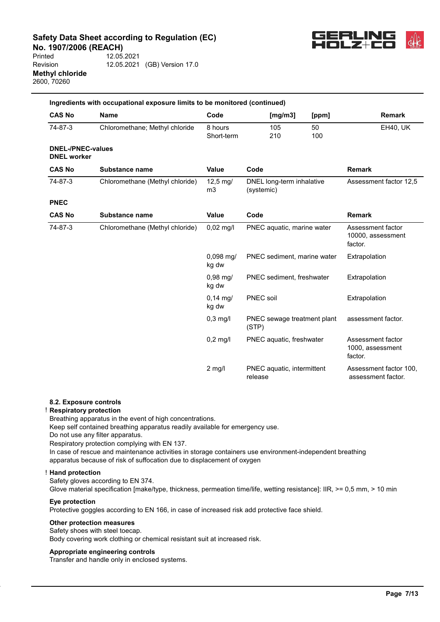**No. 1907/2006 (REACH)**<br>Printed 12.05. Printed 12.05.2021



Revision 12.05.2021 (GB) Version 17.0 **Methyl chloride** 2600, 70260

|                                                | Ingredients with occupational exposure limits to be monitored (continued) |                            |                                         |           |                                                   |
|------------------------------------------------|---------------------------------------------------------------------------|----------------------------|-----------------------------------------|-----------|---------------------------------------------------|
| <b>CAS No</b>                                  | <b>Name</b>                                                               | Code                       | [mg/m3]                                 | [ppm]     | <b>Remark</b>                                     |
| 74-87-3                                        | Chloromethane; Methyl chloride                                            | 8 hours<br>Short-term      | 105<br>210                              | 50<br>100 | <b>EH40, UK</b>                                   |
| <b>DNEL-/PNEC-values</b><br><b>DNEL</b> worker |                                                                           |                            |                                         |           |                                                   |
| <b>CAS No</b>                                  | Substance name                                                            | <b>Value</b>               | Code                                    |           | <b>Remark</b>                                     |
| 74-87-3                                        | Chloromethane (Methyl chloride)                                           | 12,5 mg/<br>m <sub>3</sub> | DNEL long-term inhalative<br>(systemic) |           | Assessment factor 12,5                            |
| <b>PNEC</b>                                    |                                                                           |                            |                                         |           |                                                   |
| <b>CAS No</b>                                  | Substance name                                                            | <b>Value</b>               | Code                                    |           | <b>Remark</b>                                     |
| 74-87-3                                        | Chloromethane (Methyl chloride)                                           | $0,02$ mg/l                | PNEC aquatic, marine water              |           | Assessment factor<br>10000, assessment<br>factor. |
|                                                |                                                                           | $0,098$ mg/<br>kg dw       | PNEC sediment, marine water             |           | Extrapolation                                     |
|                                                |                                                                           | $0.98$ mg/<br>kg dw        | PNEC sediment, freshwater               |           | Extrapolation                                     |
|                                                |                                                                           | $0,14 \text{ mg}$<br>kg dw | <b>PNEC</b> soil                        |           | Extrapolation                                     |
|                                                |                                                                           | $0,3$ mg/l                 | PNEC sewage treatment plant<br>(STP)    |           | assessment factor.                                |
|                                                |                                                                           | $0,2$ mg/l                 | PNEC aquatic, freshwater                |           | Assessment factor<br>1000, assessment<br>factor.  |
|                                                |                                                                           | $2$ mg/l                   | PNEC aquatic, intermittent<br>release   |           | Assessment factor 100,<br>assessment factor.      |

#### **8.2. Exposure controls**

#### ! **Respiratory protection**

Breathing apparatus in the event of high concentrations.

Keep self contained breathing apparatus readily available for emergency use.

Do not use any filter apparatus.

Respiratory protection complying with EN 137.

In case of rescue and maintenance activities in storage containers use environment-independent breathing apparatus because of risk of suffocation due to displacement of oxygen

#### ! **Hand protection**

Safety gloves according to EN 374.

Glove material specification [make/type, thickness, permeation time/life, wetting resistance]: IIR, >= 0,5 mm, > 10 min

#### **Eye protection**

Protective goggles according to EN 166, in case of increased risk add protective face shield.

#### **Other protection measures**

Safety shoes with steel toecap. Body covering work clothing or chemical resistant suit at increased risk.

#### **Appropriate engineering controls**

Transfer and handle only in enclosed systems.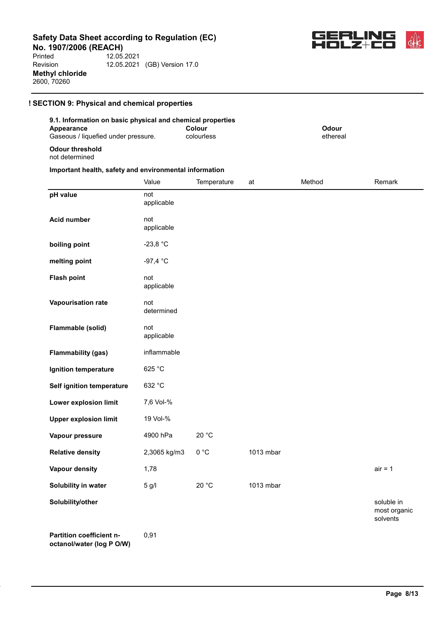**No. 1907/2006 (REACH)**<br>Printed 12.05. Printed 12.05.2021 Revision 12.05.2021 (GB) Version 17.0 **Methyl chloride** 2600, 70260



### **! SECTION 9: Physical and chemical properties**

#### **9.1. Information on basic physical and chemical properties Appearance** Gaseous / liquefied under pressure. **Colour** colourless **Odour** ethereal **Odour threshold**

not determined

#### **Important health, safety and environmental information**

|                                                       | Value             | Temperature | at        | Method | Remark                                 |
|-------------------------------------------------------|-------------------|-------------|-----------|--------|----------------------------------------|
| pH value                                              | not<br>applicable |             |           |        |                                        |
| <b>Acid number</b>                                    | not<br>applicable |             |           |        |                                        |
| boiling point                                         | $-23,8 °C$        |             |           |        |                                        |
| melting point                                         | $-97,4 °C$        |             |           |        |                                        |
| <b>Flash point</b>                                    | not<br>applicable |             |           |        |                                        |
| Vapourisation rate                                    | not<br>determined |             |           |        |                                        |
| Flammable (solid)                                     | not<br>applicable |             |           |        |                                        |
| <b>Flammability (gas)</b>                             | inflammable       |             |           |        |                                        |
| Ignition temperature                                  | 625 °C            |             |           |        |                                        |
| Self ignition temperature                             | 632 °C            |             |           |        |                                        |
| Lower explosion limit                                 | 7,6 Vol-%         |             |           |        |                                        |
| <b>Upper explosion limit</b>                          | 19 Vol-%          |             |           |        |                                        |
| Vapour pressure                                       | 4900 hPa          | 20 °C       |           |        |                                        |
| <b>Relative density</b>                               | 2,3065 kg/m3      | 0 °C        | 1013 mbar |        |                                        |
| <b>Vapour density</b>                                 | 1,78              |             |           |        | $air = 1$                              |
| Solubility in water                                   | 5 g/l             | 20 °C       | 1013 mbar |        |                                        |
| Solubility/other                                      |                   |             |           |        | soluble in<br>most organic<br>solvents |
| Partition coefficient n-<br>octanol/water (log P O/W) | 0,91              |             |           |        |                                        |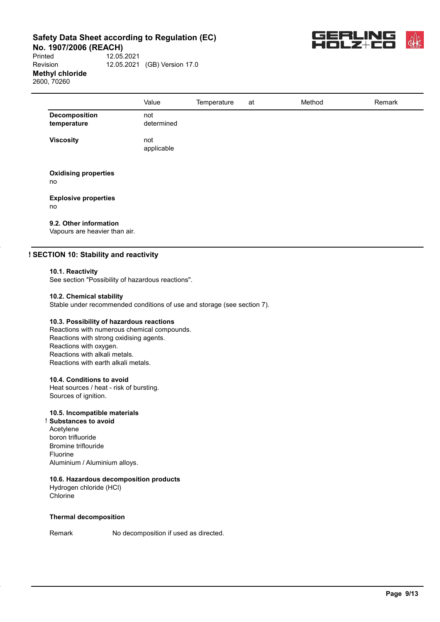**No. 1907/2006 (REACH)**<br>Printed 12.05.

Printed 12.05.2021 Revision 12.05.2021 (GB) Version 17.0 **Methyl chloride** 2600, 70260



|                                     | Value             | Temperature | at | Method | Remark |
|-------------------------------------|-------------------|-------------|----|--------|--------|
| <b>Decomposition</b><br>temperature | not<br>determined |             |    |        |        |
| <b>Viscosity</b>                    | not<br>applicable |             |    |        |        |
| <b>Oxidising properties</b><br>no   |                   |             |    |        |        |
| <b>Explosive properties</b>         |                   |             |    |        |        |

no

# **9.2. Other information**

Vapours are heavier than air.

#### **! SECTION 10: Stability and reactivity**

#### **10.1. Reactivity**

See section "Possibility of hazardous reactions".

#### **10.2. Chemical stability**

Stable under recommended conditions of use and storage (see section 7).

#### **10.3. Possibility of hazardous reactions**

Reactions with numerous chemical compounds. Reactions with strong oxidising agents. Reactions with oxygen. Reactions with alkali metals. Reactions with earth alkali metals.

#### **10.4. Conditions to avoid**

Heat sources / heat - risk of bursting. Sources of ignition.

# **10.5. Incompatible materials**

! **Substances to avoid** Acetylene boron trifluoride Bromine triflouride Fluorine Aluminium / Aluminium alloys.

#### **10.6. Hazardous decomposition products**

Hydrogen chloride (HCl) Chlorine

#### **Thermal decomposition**

Remark No decomposition if used as directed.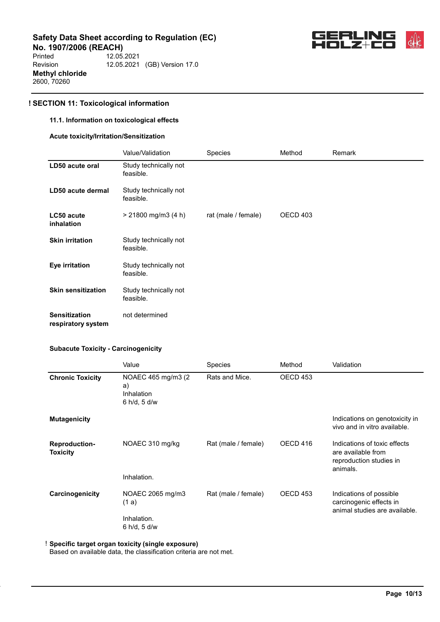**No. 1907/2006 (REACH)**<br>Printed 12.05. Printed 12.05.2021 Revision 12.05.2021 (GB) Version 17.0 **Methyl chloride** 2600, 70260



# **! SECTION 11: Toxicological information**

#### **11.1. Information on toxicological effects**

#### **Acute toxicity/Irritation/Sensitization**

|                                            | Value/Validation                   | Species             | Method   | Remark |
|--------------------------------------------|------------------------------------|---------------------|----------|--------|
| LD50 acute oral                            | Study technically not<br>feasible. |                     |          |        |
| LD50 acute dermal                          | Study technically not<br>feasible. |                     |          |        |
| LC50 acute<br>inhalation                   | $> 21800$ mg/m3 (4 h)              | rat (male / female) | OECD 403 |        |
| <b>Skin irritation</b>                     | Study technically not<br>feasible. |                     |          |        |
| Eye irritation                             | Study technically not<br>feasible. |                     |          |        |
| <b>Skin sensitization</b>                  | Study technically not<br>feasible. |                     |          |        |
| <b>Sensitization</b><br>respiratory system | not determined                     |                     |          |        |

#### **Subacute Toxicity - Carcinogenicity**

|                                         | Value                                                   | Species             | Method   | Validation                                                                                |
|-----------------------------------------|---------------------------------------------------------|---------------------|----------|-------------------------------------------------------------------------------------------|
| <b>Chronic Toxicity</b>                 | NOAEC 465 mg/m3 (2)<br>a)<br>Inhalation<br>6 h/d, 5 d/w | Rats and Mice.      | OECD 453 |                                                                                           |
| <b>Mutagenicity</b>                     |                                                         |                     |          | Indications on genotoxicity in<br>vivo and in vitro available.                            |
| <b>Reproduction-</b><br><b>Toxicity</b> | NOAEC 310 mg/kg                                         | Rat (male / female) | OECD 416 | Indications of toxic effects<br>are available from<br>reproduction studies in<br>animals. |
|                                         | Inhalation.                                             |                     |          |                                                                                           |
| Carcinogenicity                         | NOAEC 2065 mg/m3<br>(1a)                                | Rat (male / female) | OECD 453 | Indications of possible<br>carcinogenic effects in<br>animal studies are available.       |
|                                         | Inhalation.<br>6 h/d, 5 d/w                             |                     |          |                                                                                           |

### ! **Specific target organ toxicity (single exposure)**

Based on available data, the classification criteria are not met.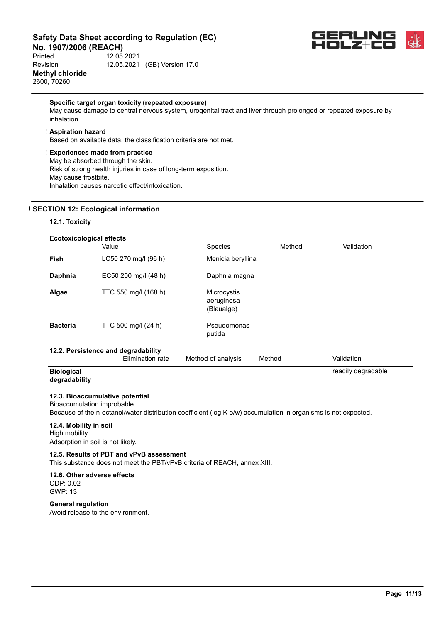**No. 1907/2006 (REACH)**<br>Printed 12.05.

Printed 12.05.2021 Revision 12.05.2021 (GB) Version 17.0 **Methyl chloride** 2600, 70260



readily degradable

#### **Specific target organ toxicity (repeated exposure)**

May cause damage to central nervous system, urogenital tract and liver through prolonged or repeated exposure by inhalation.

#### ! **Aspiration hazard**

Based on available data, the classification criteria are not met.

#### ! **Experiences made from practice**

May be absorbed through the skin.

Risk of strong health injuries in case of long-term exposition. May cause frostbite. Inhalation causes narcotic effect/intoxication.

#### **! SECTION 12: Ecological information**

#### **12.1. Toxicity**

| <b>Ecotoxicological effects</b> |                                                         |                                         |        |            |  |  |  |
|---------------------------------|---------------------------------------------------------|-----------------------------------------|--------|------------|--|--|--|
|                                 | Value                                                   | <b>Species</b>                          | Method | Validation |  |  |  |
| <b>Fish</b>                     | LC50 270 mg/l (96 h)                                    | Menicia beryllina                       |        |            |  |  |  |
| <b>Daphnia</b>                  | EC50 200 mg/l (48 h)                                    | Daphnia magna                           |        |            |  |  |  |
| Algae                           | TTC 550 mg/l (168 h)                                    | Microcystis<br>aeruginosa<br>(Blaualge) |        |            |  |  |  |
| <b>Bacteria</b>                 | TTC 500 mg/l (24 h)                                     | Pseudomonas<br>putida                   |        |            |  |  |  |
|                                 | 12.2. Persistence and degradability<br>Elimination rate | Method of analysis                      | Method | Validation |  |  |  |

#### **Biological degradability**

#### **12.3. Bioaccumulative potential**

Bioaccumulation improbable.

Because of the n-octanol/water distribution coefficient (log K o/w) accumulation in organisms is not expected.

# **12.4. Mobility in soil**

High mobility Adsorption in soil is not likely.

# **12.5. Results of PBT and vPvB assessment**

This substance does not meet the PBT/vPvB criteria of REACH, annex XIII.

#### **12.6. Other adverse effects** ODP: 0,02 GWP: 13

**General regulation** Avoid release to the environment.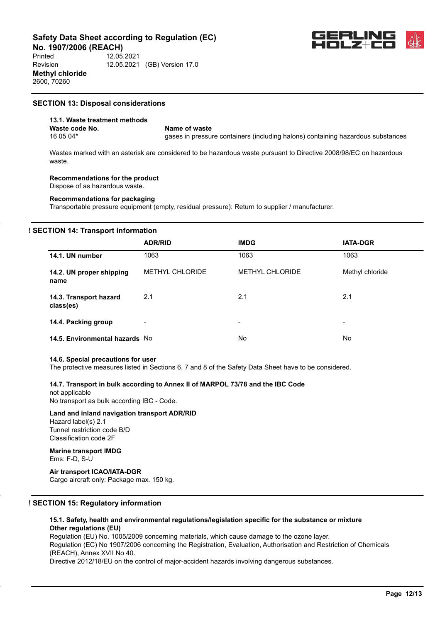**No. 1907/2006 (REACH)**<br>Printed 12.05

Printed 12.05.2021 Revision 12.05.2021 (GB) Version 17.0 **Methyl chloride** 2600, 70260

## **SECTION 13: Disposal considerations**

# **13.1. Waste treatment methods Waste code No.** Name of waste<br>16.05.04\* and the cases in pressure

gases in pressure containers (including halons) containing hazardous substances

Wastes marked with an asterisk are considered to be hazardous waste pursuant to Directive 2008/98/EC on hazardous waste.

# **Recommendations for the product**

Dispose of as hazardous waste.

#### **Recommendations for packaging**

Transportable pressure equipment (empty, residual pressure): Return to supplier / manufacturer.

### **! SECTION 14: Transport information**

|                                     | <b>ADR/RID</b>         | <b>IMDG</b>            | <b>IATA-DGR</b> |
|-------------------------------------|------------------------|------------------------|-----------------|
| 14.1. UN number                     | 1063                   | 1063                   | 1063            |
| 14.2. UN proper shipping<br>name    | <b>METHYL CHLORIDE</b> | <b>METHYL CHLORIDE</b> | Methyl chloride |
| 14.3. Transport hazard<br>class(es) | 2.1                    | 2.1                    | 2.1             |
| 14.4. Packing group                 | $\blacksquare$         | $\blacksquare$         | -               |
| 14.5. Environmental hazards No      |                        | <b>No</b>              | No.             |

#### **14.6. Special precautions for user**

The protective measures listed in Sections 6, 7 and 8 of the Safety Data Sheet have to be considered.

### **14.7. Transport in bulk according to Annex II of MARPOL 73/78 and the IBC Code**

not applicable No transport as bulk according IBC - Code.

#### **Land and inland navigation transport ADR/RID** Hazard label(s) 2.1

Tunnel restriction code B/D Classification code 2F

### **Marine transport IMDG**

Ems: F-D, S-U

#### **Air transport ICAO/IATA-DGR**

Cargo aircraft only: Package max. 150 kg.

#### **! SECTION 15: Regulatory information**

#### **15.1. Safety, health and environmental regulations/legislation specific for the substance or mixture Other regulations (EU)**

Regulation (EU) No. 1005/2009 concerning materials, which cause damage to the ozone layer. Regulation (EC) No 1907/2006 concerning the Registration, Evaluation, Authorisation and Restriction of Chemicals (REACH), Annex XVII No 40.

Directive 2012/18/EU on the control of major-accident hazards involving dangerous substances.

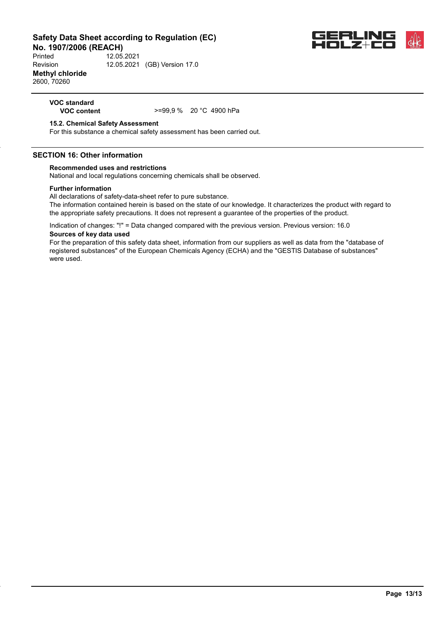**No. 1907/2006 (REACH)**<br>Printed 12.05. Printed 12.05.2021 Revision 12.05.2021 (GB) Version 17.0 **Methyl chloride** 2600, 70260



# **VOC standard**

**VOC content** >=99,9 % 20 °C 4900 hPa

#### **15.2. Chemical Safety Assessment**

For this substance a chemical safety assessment has been carried out.

#### **SECTION 16: Other information**

#### **Recommended uses and restrictions**

National and local regulations concerning chemicals shall be observed.

#### **Further information**

All declarations of safety-data-sheet refer to pure substance.

The information contained herein is based on the state of our knowledge. It characterizes the product with regard to the appropriate safety precautions. It does not represent a guarantee of the properties of the product.

Indication of changes: "!" = Data changed compared with the previous version. Previous version: 16.0 **Sources of key data used**

For the preparation of this safety data sheet, information from our suppliers as well as data from the "database of registered substances" of the European Chemicals Agency (ECHA) and the "GESTIS Database of substances" were used.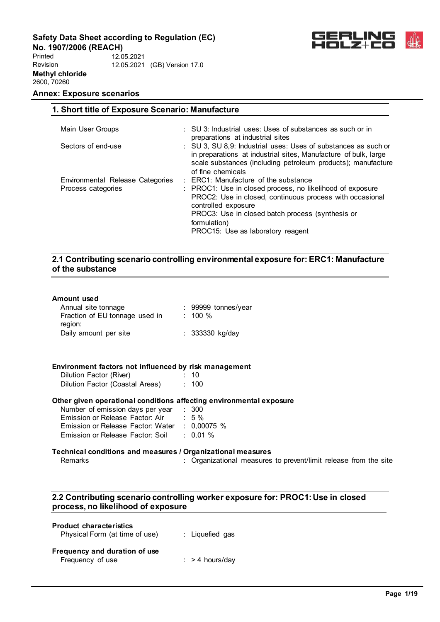**No. 1907/2006 (REACH)** Printed Revision **Methyl chloride** 2600, 70260 12.05.2021 12.05.2021 (GB) Version 17.0



# **Annex: Exposure scenarios**

| 1. Short title of Exposure Scenario: Manufacture       |                                                                                                                                                                                                                                                                                                          |
|--------------------------------------------------------|----------------------------------------------------------------------------------------------------------------------------------------------------------------------------------------------------------------------------------------------------------------------------------------------------------|
| Main User Groups                                       | : SU 3: Industrial uses: Uses of substances as such or in<br>preparations at industrial sites                                                                                                                                                                                                            |
| Sectors of end-use                                     | : SU 3, SU 8.9: Industrial uses: Uses of substances as such or<br>in preparations at industrial sites, Manufacture of bulk, large<br>scale substances (including petroleum products); manufacture<br>of fine chemicals                                                                                   |
| Environmental Release Categories<br>Process categories | $\therefore$ ERC1: Manufacture of the substance<br>: PROC1: Use in closed process, no likelihood of exposure<br>PROC2: Use in closed, continuous process with occasional<br>controlled exposure<br>PROC3: Use in closed batch process (synthesis or<br>formulation)<br>PROC15: Use as laboratory reagent |

# **2.1 Contributing scenario controlling environmental exposure for: ERC1: Manufacture of the substance**

#### **Amount used**

| Annual site tonnage                                                 | : 99999 tonnes/year                                              |  |
|---------------------------------------------------------------------|------------------------------------------------------------------|--|
| Fraction of EU tonnage used in : 100 %                              |                                                                  |  |
| region:                                                             |                                                                  |  |
|                                                                     |                                                                  |  |
| Daily amount per site                                               | $: 333330$ kg/day                                                |  |
|                                                                     |                                                                  |  |
|                                                                     |                                                                  |  |
| Environment factors not influenced by risk management               |                                                                  |  |
|                                                                     |                                                                  |  |
| Dilution Factor (River)<br>$\sim$ 10                                |                                                                  |  |
| Dilution Factor (Coastal Areas) : 100                               |                                                                  |  |
| Other given operational conditions affecting environmental exposure |                                                                  |  |
| Number of emission days per year : 300                              |                                                                  |  |
| Emission or Release Factor: Air : 5 %                               |                                                                  |  |
|                                                                     |                                                                  |  |
| Emission or Release Factor: Water : 0,00075 %                       |                                                                  |  |
| Emission or Release Factor: Soil : 0,01 %                           |                                                                  |  |
| Technical conditions and measures / Organizational measures         |                                                                  |  |
| Remarks                                                             | : Organizational measures to prevent/limit release from the site |  |
|                                                                     |                                                                  |  |
|                                                                     |                                                                  |  |

# **2.2 Contributing scenario controlling worker exposure for: PROC1: Use in closed process, no likelihood of exposure**

| <b>Product characteristics</b><br>Physical Form (at time of use) | : Liquefied gas   |
|------------------------------------------------------------------|-------------------|
| Frequency and duration of use<br>Frequency of use                | $:$ > 4 hours/day |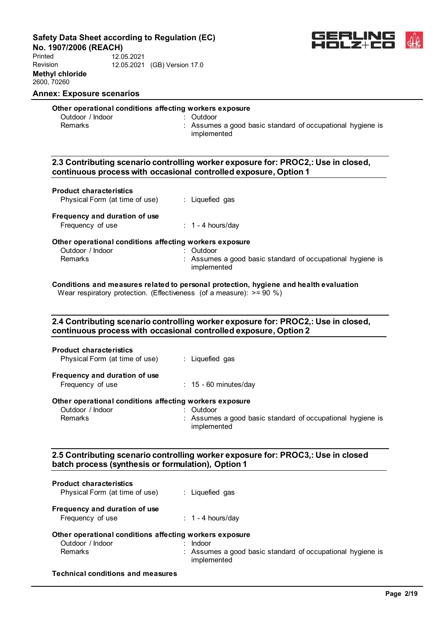**No. 1907/2006 (REACH)**

Printed Revision **Methyl chloride** 2600, 70260 12.05.2021 12.05.2021 (GB) Version 17.0



# **Annex: Exposure scenarios**

# **Other operational conditions affecting workers exposure**

| Outdoor / Indoor |  |
|------------------|--|
| Remarks          |  |

: Outdoor : Assumes a good basic standard of occupational hygiene is implemented

# **2.3 Contributing scenario controlling worker exposure for: PROC2,: Use in closed, continuous process with occasional controlled exposure, Option 1**

| Physical Form (at time of use) | Liquefied gas |
|--------------------------------|---------------|
|--------------------------------|---------------|

# **Frequency and duration of use**

| Frequency of use | $: 1 - 4$ hours/day |
|------------------|---------------------|
|------------------|---------------------|

#### **Other operational conditions affecting workers exposure**

|                  | : Outdoor                                                  |
|------------------|------------------------------------------------------------|
| Outdoor / Indoor | : Assumes a good basic standard of occupational hygiene is |
| Remarks          | implemented                                                |
|                  |                                                            |

#### **Conditions and measures related to personal protection, hygiene and health evaluation** Wear respiratory protection. (Effectiveness (of a measure):  $> = 90 \%$ )

# **2.4 Contributing scenario controlling worker exposure for: PROC2,: Use in closed, continuous process with occasional controlled exposure, Option 2**

| <b>Product characteristics</b><br>Physical Form (at time of use)            | : Liquefied gas            |
|-----------------------------------------------------------------------------|----------------------------|
| Frequency and duration of use<br>Frequency of use                           | $\div$ 15 - 60 minutes/day |
| Other operational conditions affecting workers exposure<br>Outdoor / Indoor | Outdoor                    |

| Remarks | : Assumes a good basic standard of occupational hygiene is |  |
|---------|------------------------------------------------------------|--|
|         | implemented                                                |  |

# **2.5 Contributing scenario controlling worker exposure for: PROC3,: Use in closed batch process (synthesis or formulation), Option 1**

| <b>Product characteristics</b><br>Physical Form (at time of use) | : Liquefied gas                                                           |
|------------------------------------------------------------------|---------------------------------------------------------------------------|
| Frequency and duration of use                                    |                                                                           |
| Frequency of use                                                 | $\therefore$ 1 - 4 hours/day                                              |
| Other operational conditions affecting workers exposure          |                                                                           |
| Outdoor / Indoor                                                 | Indoor                                                                    |
| <b>Remarks</b>                                                   | : Assumes a good basic standard of occupational hygiene is<br>implemented |
| <b>Technical conditions and measures</b>                         |                                                                           |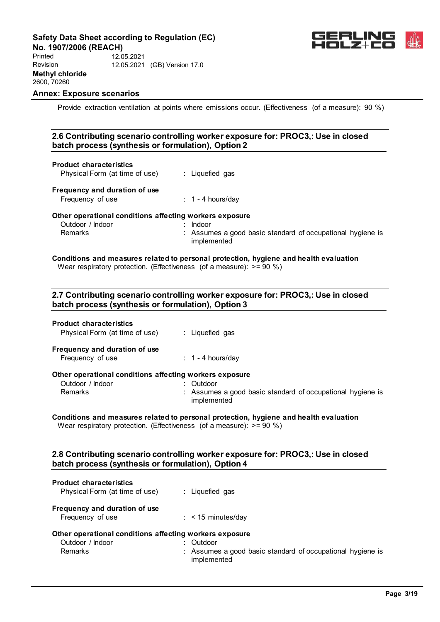

**No. 1907/2006 (REACH)** Printed Revision **Methyl chloride** 2600, 70260 12.05.2021 12.05.2021 (GB) Version 17.0

# **Annex: Exposure scenarios**

Provide extraction ventilation at points where emissions occur. (Effectiveness (of a measure): 90 %)

# **2.6 Contributing scenario controlling worker exposure for: PROC3,: Use in closed batch process (synthesis or formulation), Option 2 Product characteristics** Physical Form (at time of use) : Liquefied gas **Frequency and duration of use** Frequency of use : 1 - 4 hours/day

#### **Other operational conditions affecting workers exposure**

| Outdoor / Indoor | Indoor                                                     |
|------------------|------------------------------------------------------------|
| Remarks          | : Assumes a good basic standard of occupational hygiene is |
|                  | implemented                                                |

#### **Conditions and measures related to personal protection, hygiene and health evaluation** Wear respiratory protection. (Effectiveness (of a measure):  $> = 90 \%$ )

# **2.7 Contributing scenario controlling worker exposure for: PROC3,: Use in closed batch process (synthesis or formulation), Option 3**

| <b>Product characteristics</b><br>Physical Form (at time of use) | : Liquefied gas                                                           |
|------------------------------------------------------------------|---------------------------------------------------------------------------|
| Frequency and duration of use                                    |                                                                           |
| Frequency of use                                                 | $\therefore$ 1 - 4 hours/day                                              |
| Other operational conditions affecting workers exposure          |                                                                           |
| Outdoor / Indoor                                                 | : Outdoor                                                                 |
| Remarks                                                          | : Assumes a good basic standard of occupational hygiene is<br>implemented |

#### **Conditions and measures related to personal protection, hygiene and health evaluation** Wear respiratory protection. (Effectiveness (of a measure):  $> = 90 \%$ )

# **2.8 Contributing scenario controlling worker exposure for: PROC3,: Use in closed batch process (synthesis or formulation), Option 4**

| <b>Product characteristics</b><br>Physical Form (at time of use)                              | : Liquefied gas                                                                        |
|-----------------------------------------------------------------------------------------------|----------------------------------------------------------------------------------------|
| Frequency and duration of use<br>Frequency of use                                             | $\therefore$ < 15 minutes/day                                                          |
| Other operational conditions affecting workers exposure<br>Outdoor / Indoor<br><b>Remarks</b> | : Outdoor<br>: Assumes a good basic standard of occupational hygiene is<br>implemented |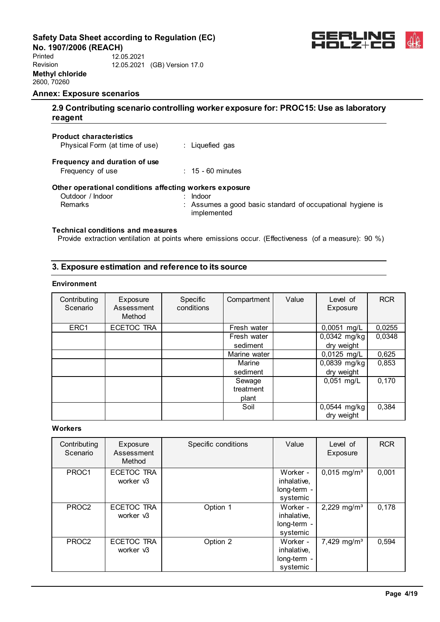**No. 1907/2006 (REACH)** Printed Revision **Methyl chloride** 2600, 70260 12.05.2021 12.05.2021 (GB) Version 17.0



#### **Annex: Exposure scenarios**

# **2.9 Contributing scenario controlling worker exposure for: PROC15: Use as laboratory reagent**

#### **Product characteristics**

Physical Form (at time of use) : Liquefied gas

# **Frequency and duration of use**

Frequency of use : 15 - 60 minutes

# **Other operational conditions affecting workers exposure**

| Outdoor / Indoor | Indoor                                                                    |
|------------------|---------------------------------------------------------------------------|
| Remarks          | : Assumes a good basic standard of occupational hygiene is<br>implemented |

# **Technical conditions and measures**

Provide extraction ventilation at points where emissions occur. (Effectiveness (of a measure): 90 %)

# **3. Exposure estimation and reference to its source**

#### **Environment**

| Contributing<br>Scenario | Exposure<br>Assessment<br>Method | Specific<br>conditions | Compartment  | Value | Level of<br>Exposure       | <b>RCR</b> |
|--------------------------|----------------------------------|------------------------|--------------|-------|----------------------------|------------|
| ERC1                     | ECETOC TRA                       |                        | Fresh water  |       | 0,0051 mg/L                | 0,0255     |
|                          |                                  |                        | Fresh water  |       | 0,0342 mg/kg               | 0,0348     |
|                          |                                  |                        | sediment     |       | dry weight                 |            |
|                          |                                  |                        | Marine water |       | 0,0125 mg/L                | 0,625      |
|                          |                                  |                        | Marine       |       | 0,0839 mg/kg               | 0,853      |
|                          |                                  |                        | sediment     |       | dry weight                 |            |
|                          |                                  |                        | Sewage       |       | $0,051$ mg/L               | 0,170      |
|                          |                                  |                        | treatment    |       |                            |            |
|                          |                                  |                        | plant        |       |                            |            |
|                          |                                  |                        | Soil         |       | 0,0544 mg/kg<br>dry weight | 0,384      |

#### **Workers**

| Contributing<br>Scenario | Exposure<br>Assessment<br>Method | Specific conditions | Value                                              | Level of<br>Exposure      | <b>RCR</b> |
|--------------------------|----------------------------------|---------------------|----------------------------------------------------|---------------------------|------------|
| PROC1                    | ECETOC TRA<br>worker v3          |                     | Worker -<br>inhalative,<br>long-term -<br>systemic | $0,015$ mg/m <sup>3</sup> | 0,001      |
| PROC <sub>2</sub>        | ECETOC TRA<br>worker v3          | Option 1            | Worker -<br>inhalative,<br>long-term -<br>systemic | 2,229 mg/m <sup>3</sup>   | 0,178      |
| PROC <sub>2</sub>        | ECETOC TRA<br>worker v3          | Option 2            | Worker -<br>inhalative,<br>long-term -<br>systemic | 7,429 mg/m <sup>3</sup>   | 0,594      |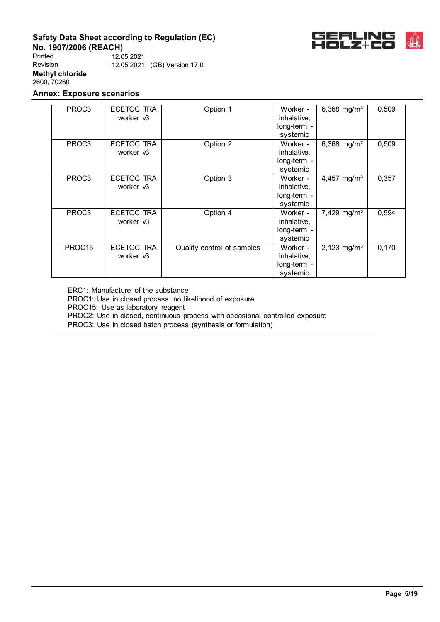

**No. 1907/2006 (REACH)** Printed Revision **Methyl chloride** 2600, 70260 12.05.2021 12.05.2021 (GB) Version 17.0

# **Annex: Exposure scenarios**

| PROC3             | ECETOC TRA<br>worker v3 | Option 1                   | Worker -<br>inhalative,<br>long-term -<br>systemic | 6,368 mg/ $m^3$         | 0,509 |
|-------------------|-------------------------|----------------------------|----------------------------------------------------|-------------------------|-------|
| PROC <sub>3</sub> | ECETOC TRA<br>worker v3 | Option 2                   | Worker -<br>inhalative,<br>long-term -<br>systemic | 6,368 mg/ $m^3$         | 0,509 |
| PROC <sub>3</sub> | ECETOC TRA<br>worker v3 | Option 3                   | Worker -<br>inhalative,<br>long-term -<br>systemic | 4,457 mg/m <sup>3</sup> | 0,357 |
| PROC3             | ECETOC TRA<br>worker v3 | Option 4                   | Worker -<br>inhalative,<br>long-term -<br>systemic | 7,429 mg/m <sup>3</sup> | 0,594 |
| PROC15            | ECETOC TRA<br>worker v3 | Quality control of samples | Worker -<br>inhalative,<br>long-term -<br>systemic | 2,123 mg/m <sup>3</sup> | 0,170 |

ERC1: Manufacture of the substance

PROC1: Use in closed process, no likelihood of exposure

PROC15: Use as laboratory reagent

PROC2: Use in closed, continuous process with occasional controlled exposure

PROC3: Use in closed batch process (synthesis or formulation)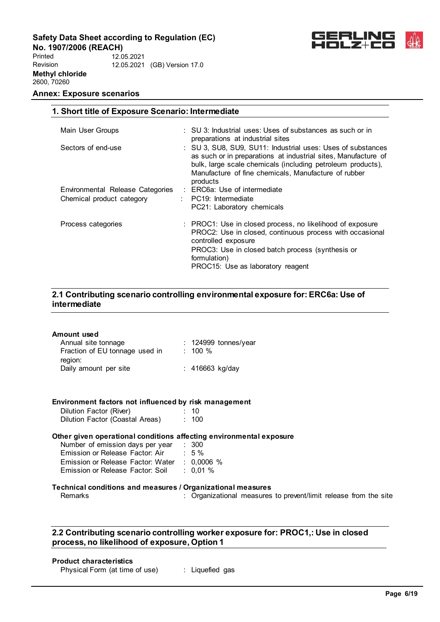**No. 1907/2006 (REACH)**

Printed Revision **Methyl chloride** 2600, 70260 12.05.2021 12.05.2021 (GB) Version 17.0

**1. Short title of Exposure Scenario: Intermediate**

# **Annex: Exposure scenarios**



| Main User Groups                 | $\therefore$ SU 3: Industrial uses: Uses of substances as such or in<br>preparations at industrial sites                                                                                                                                                         |
|----------------------------------|------------------------------------------------------------------------------------------------------------------------------------------------------------------------------------------------------------------------------------------------------------------|
| Sectors of end-use               | : SU 3, SU8, SU9, SU11: Industrial uses: Uses of substances<br>as such or in preparations at industrial sites, Manufacture of<br>bulk, large scale chemicals (including petroleum products),<br>Manufacture of fine chemicals. Manufacture of rubber<br>products |
| Environmental Release Categories | : ERC6a: Use of intermediate                                                                                                                                                                                                                                     |
| Chemical product category        | $\therefore$ PC19: Intermediate                                                                                                                                                                                                                                  |
|                                  | PC21: Laboratory chemicals                                                                                                                                                                                                                                       |
| Process categories               | : PROC1: Use in closed process, no likelihood of exposure<br>PROC2: Use in closed, continuous process with occasional<br>controlled exposure<br>PROC3: Use in closed batch process (synthesis or<br>formulation)<br>PROC15: Use as laboratory reagent            |

# **2.1 Contributing scenario controlling environmental exposure for: ERC6a: Use of intermediate**

| Amount used<br>Annual site tonnage<br>Fraction of EU tonnage used in : 100 %<br>region:<br>Daily amount per site<br>: 416663 kg/day<br>Environment factors not influenced by risk management<br>Dilution Factor (River)<br>$\therefore$ 10<br>Dilution Factor (Coastal Areas) : 100<br>Other given operational conditions affecting environmental exposure<br>Number of emission days per year : 300<br>Emission or Release Factor: Air : 5 %<br>Emission or Release Factor: Water : 0,0006 %<br>Emission or Release Factor: Soil : 0,01 %<br>Technical conditions and measures / Organizational measures<br>Remarks |  |                                                                  |
|----------------------------------------------------------------------------------------------------------------------------------------------------------------------------------------------------------------------------------------------------------------------------------------------------------------------------------------------------------------------------------------------------------------------------------------------------------------------------------------------------------------------------------------------------------------------------------------------------------------------|--|------------------------------------------------------------------|
|                                                                                                                                                                                                                                                                                                                                                                                                                                                                                                                                                                                                                      |  |                                                                  |
|                                                                                                                                                                                                                                                                                                                                                                                                                                                                                                                                                                                                                      |  |                                                                  |
|                                                                                                                                                                                                                                                                                                                                                                                                                                                                                                                                                                                                                      |  |                                                                  |
|                                                                                                                                                                                                                                                                                                                                                                                                                                                                                                                                                                                                                      |  | : Organizational measures to prevent/limit release from the site |

# **2.2 Contributing scenario controlling worker exposure for: PROC1,: Use in closed process, no likelihood of exposure, Option 1**

# **Product characteristics**

| Physical Form (at time of use) |  | Liquefied gas |  |
|--------------------------------|--|---------------|--|
|--------------------------------|--|---------------|--|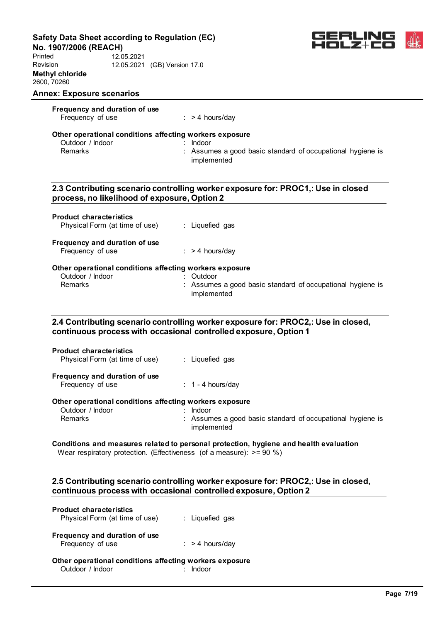**No. 1907/2006 (REACH)**

Printed Revision **Methyl chloride** 2600, 70260 12.05.2021 12.05.2021 (GB) Version 17.0



| <b>Annex: Exposure scenarios</b>                        |                                                                                                                                                       |
|---------------------------------------------------------|-------------------------------------------------------------------------------------------------------------------------------------------------------|
| Frequency and duration of use<br>Frequency of use       | $:$ > 4 hours/day                                                                                                                                     |
|                                                         |                                                                                                                                                       |
| Other operational conditions affecting workers exposure |                                                                                                                                                       |
| Outdoor / Indoor                                        | Indoor                                                                                                                                                |
| Remarks                                                 | : Assumes a good basic standard of occupational hygiene is<br>implemented                                                                             |
| process, no likelihood of exposure, Option 2            | 2.3 Contributing scenario controlling worker exposure for: PROC1,: Use in closed                                                                      |
|                                                         |                                                                                                                                                       |
| <b>Product characteristics</b>                          |                                                                                                                                                       |
| Physical Form (at time of use)                          | : Liquefied gas                                                                                                                                       |
| Frequency and duration of use                           |                                                                                                                                                       |
| Frequency of use                                        | $:$ > 4 hours/day                                                                                                                                     |
| Other operational conditions affecting workers exposure |                                                                                                                                                       |
| Outdoor / Indoor                                        | : Outdoor                                                                                                                                             |
| Remarks                                                 | : Assumes a good basic standard of occupational hygiene is                                                                                            |
|                                                         | implemented                                                                                                                                           |
|                                                         |                                                                                                                                                       |
|                                                         | 2.4 Contributing scenario controlling worker exposure for: PROC2,: Use in closed,<br>continuous process with occasional controlled exposure, Option 1 |
|                                                         |                                                                                                                                                       |
|                                                         |                                                                                                                                                       |
| <b>Product characteristics</b>                          |                                                                                                                                                       |
| Physical Form (at time of use)                          | : Liquefied gas                                                                                                                                       |
| Frequency and duration of use                           |                                                                                                                                                       |

# Outdoor / Indoor : Indoor : Indoor : Indoor : Indoor : Indoor : Indoor : Indoor : Indoor : Indoor : Indoor : I : Assumes a good basic standard of occupational hygiene is implemented

### **Conditions and measures related to personal protection, hygiene and health evaluation** Wear respiratory protection. (Effectiveness (of a measure):  $>= 90 %$ )

# **2.5 Contributing scenario controlling worker exposure for: PROC2,: Use in closed, continuous process with occasional controlled exposure, Option 2**

| <b>Product characteristics</b><br>Physical Form (at time of use)            | : Liquefied gas            |
|-----------------------------------------------------------------------------|----------------------------|
| Frequency and duration of use<br>Frequency of use                           | $\therefore$ > 4 hours/day |
| Other operational conditions affecting workers exposure<br>Outdoor / Indoor |                            |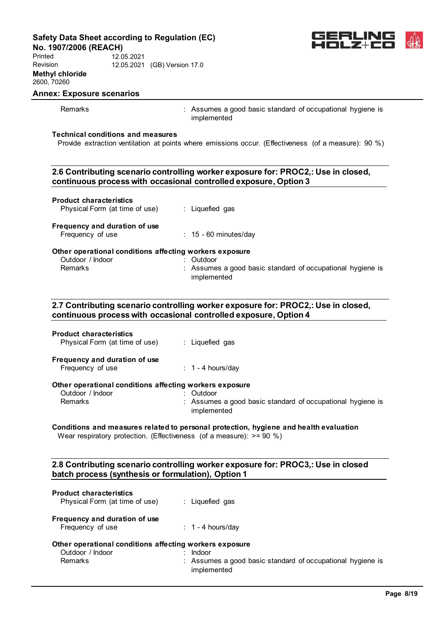**No. 1907/2006 (REACH)**

Printed Revision **Methyl chloride** 2600, 70260 12.05.2021 12.05.2021 (GB) Version 17.0



# **Annex: Exposure scenarios**

Remarks **Example 20** Remarks : Assumes a good basic standard of occupational hygiene is implemented

#### **Technical conditions and measures**

Provide extraction ventilation at points where emissions occur. (Effectiveness (of a measure): 90 %)

# **2.6 Contributing scenario controlling worker exposure for: PROC2,: Use in closed, continuous process with occasional controlled exposure, Option 3**

| <b>Product characteristics</b><br>Physical Form (at time of use) | : Liquefied gas                                                           |
|------------------------------------------------------------------|---------------------------------------------------------------------------|
| Frequency and duration of use<br>Frequency of use                | $: 15 - 60$ minutes/day                                                   |
| Other operational conditions affecting workers exposure          |                                                                           |
| Outdoor / Indoor                                                 | Outdoor                                                                   |
| <b>Remarks</b>                                                   | : Assumes a good basic standard of occupational hygiene is<br>implemented |

# **2.7 Contributing scenario controlling worker exposure for: PROC2,: Use in closed, continuous process with occasional controlled exposure, Option 4**

| <b>Product characteristics</b><br>Physical Form (at time of use) | : Liquefied gas                                                           |
|------------------------------------------------------------------|---------------------------------------------------------------------------|
| Frequency and duration of use<br>Frequency of use                | $\div$ 1 - 4 hours/day                                                    |
| Other operational conditions affecting workers exposure          |                                                                           |
| Outdoor / Indoor                                                 | Outdoor                                                                   |
| <b>Remarks</b>                                                   | : Assumes a good basic standard of occupational hygiene is<br>implemented |

# **Conditions and measures related to personal protection, hygiene and health evaluation**

Wear respiratory protection. (Effectiveness (of a measure):  $> = 90 \%$ )

# **2.8 Contributing scenario controlling worker exposure for: PROC3,: Use in closed batch process (synthesis or formulation), Option 1**

| <b>Product characteristics</b><br>Physical Form (at time of use)                       | : Liquefied gas                                                                     |
|----------------------------------------------------------------------------------------|-------------------------------------------------------------------------------------|
| Frequency and duration of use<br>Frequency of use                                      | $\therefore$ 1 - 4 hours/day                                                        |
| Other operational conditions affecting workers exposure<br>Outdoor / Indoor<br>Remarks | Indoor<br>: Assumes a good basic standard of occupational hygiene is<br>implemented |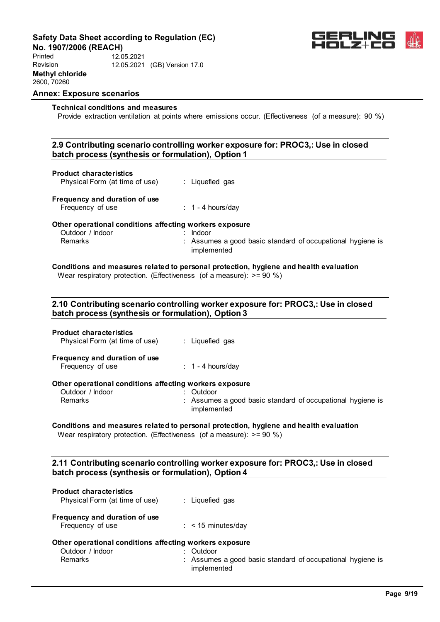**No. 1907/2006 (REACH)** Printed Revision **Methyl chloride** 2600, 70260 12.05.2021 12.05.2021 (GB) Version 17.0



#### **Annex: Exposure scenarios**

#### **Technical conditions and measures**

Provide extraction ventilation at points where emissions occur. (Effectiveness (of a measure): 90 %)

# **2.9 Contributing scenario controlling worker exposure for: PROC3,: Use in closed batch process (synthesis or formulation), Option 1**

| batch process (synthesis or formulation), Option 1                                     |                                                                                         |
|----------------------------------------------------------------------------------------|-----------------------------------------------------------------------------------------|
| <b>Product characteristics</b><br>Physical Form (at time of use)                       | : Liquefied gas                                                                         |
| Frequency and duration of use<br>Frequency of use                                      | $\therefore$ 1 - 4 hours/day                                                            |
| Other operational conditions affecting workers exposure<br>Outdoor / Indoor<br>Remarks | $:$ Indoor<br>: Assumes a good basic standard of occupational hygiene is<br>implemented |
| Wear respiratory protection. (Effectiveness (of a measure): $> = 90\%$ )               | Conditions and measures related to personal protection, hygiene and health evaluation   |
| . م در دانامه بازار در انامه از روزند و از در دانامه در در در در در در دانه دانامه دان | 2.10 Contributing scenario controlling worker exposure for: PROC3,: Use in closed       |

# **2.10 Contributing scenario controlling worker exposure for: PROC3,: Use in closed batch process (synthesis or formulation), Option 3**

| <b>Product characteristics</b><br>Physical Form (at time of use) | : Liquefied gas                                            |
|------------------------------------------------------------------|------------------------------------------------------------|
| Frequency and duration of use<br>Frequency of use                | $\div$ 1 - 4 hours/day                                     |
| Other operational conditions affecting workers exposure          |                                                            |
| Outdoor / Indoor                                                 | : Outdoor                                                  |
| Remarks                                                          | : Assumes a good basic standard of occupational hygiene is |

# implemented

# **Conditions and measures related to personal protection, hygiene and health evaluation**

Wear respiratory protection. (Effectiveness (of a measure):  $> = 90 \%$ )

# **2.11 Contributing scenario controlling worker exposure for: PROC3,: Use in closed batch process (synthesis or formulation), Option 4**

| <b>Product characteristics</b><br>Physical Form (at time of use)                       | : Liquefied gas                                                           |
|----------------------------------------------------------------------------------------|---------------------------------------------------------------------------|
| Frequency and duration of use<br>Frequency of use                                      | $\therefore$ < 15 minutes/day                                             |
| Other operational conditions affecting workers exposure<br>Outdoor / Indoor<br>Remarks | $:$ Outdoor<br>: Assumes a good basic standard of occupational hygiene is |
|                                                                                        | implemented                                                               |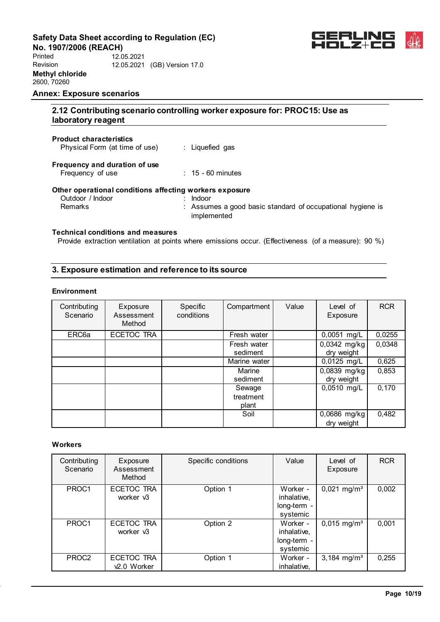**No. 1907/2006 (REACH)** Printed Revision **Methyl chloride** 2600, 70260 12.05.2021 12.05.2021 (GB) Version 17.0



#### **Annex: Exposure scenarios**

# **2.12 Contributing scenario controlling worker exposure for: PROC15: Use as laboratory reagent**

#### **Product characteristics**

Physical Form (at time of use) : Liquefied gas

# **Frequency and duration of use**

Frequency of use : 15 - 60 minutes

# **Other operational conditions affecting workers exposure**

| Outdoor / Indoor | Indoor                                                     |
|------------------|------------------------------------------------------------|
| Remarks          | : Assumes a good basic standard of occupational hygiene is |
|                  | implemented                                                |

# **Technical conditions and measures**

Provide extraction ventilation at points where emissions occur. (Effectiveness (of a measure): 90 %)

# **3. Exposure estimation and reference to its source**

### **Environment**

| Contributing<br>Scenario | Exposure<br>Assessment<br>Method | Specific<br>conditions | Compartment                  | Value | Level of<br>Exposure       | <b>RCR</b> |
|--------------------------|----------------------------------|------------------------|------------------------------|-------|----------------------------|------------|
| ERC <sub>6a</sub>        | ECETOC TRA                       |                        | Fresh water                  |       | 0,0051 mg/L                | 0,0255     |
|                          |                                  |                        | Fresh water<br>sediment      |       | 0,0342 mg/kg<br>dry weight | 0,0348     |
|                          |                                  |                        | Marine water                 |       | 0,0125 mg/L                | 0,625      |
|                          |                                  |                        | Marine<br>sediment           |       | 0,0839 mg/kg<br>dry weight | 0,853      |
|                          |                                  |                        | Sewage<br>treatment<br>plant |       | 0,0510 mg/L                | 0,170      |
|                          |                                  |                        | Soil                         |       | 0,0686 mg/kg<br>dry weight | 0,482      |

# **Workers**

| Contributing<br>Scenario | Exposure<br>Assessment<br>Method      | Specific conditions | Value                                              | Level of<br>Exposure      | <b>RCR</b> |
|--------------------------|---------------------------------------|---------------------|----------------------------------------------------|---------------------------|------------|
| PROC1                    | ECETOC TRA<br>worker v3               | Option 1            | Worker -<br>inhalative,<br>long-term -<br>systemic | $0,021$ mg/m <sup>3</sup> | 0,002      |
| PROC1                    | <b>ECETOC TRA</b><br>worker v3        | Option 2            | Worker -<br>inhalative,<br>long-term -<br>systemic | $0,015$ mg/m <sup>3</sup> | 0,001      |
| PROC <sub>2</sub>        | ECETOC TRA<br>v <sub>2.0</sub> Worker | Option 1            | Worker -<br>inhalative,                            | 3,184 mg/m <sup>3</sup>   | 0,255      |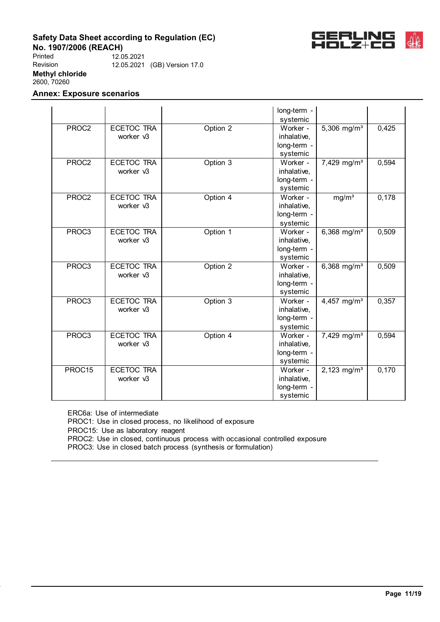

**No. 1907/2006 (REACH)** Printed Revision **Methyl chloride** 2600, 70260 12.05.2021 12.05.2021 (GB) Version 17.0

# **Annex: Exposure scenarios**

|        |                   |          | long-term - |                           |       |
|--------|-------------------|----------|-------------|---------------------------|-------|
|        |                   |          | systemic    |                           |       |
| PROC2  | ECETOC TRA        | Option 2 | Worker -    | $5,306$ mg/m <sup>3</sup> | 0,425 |
|        | worker v3         |          | inhalative, |                           |       |
|        |                   |          | long-term - |                           |       |
|        |                   |          | systemic    |                           |       |
| PROC2  | <b>ECETOC TRA</b> | Option 3 | Worker -    | 7,429 mg/m <sup>3</sup>   | 0,594 |
|        | worker v3         |          | inhalative, |                           |       |
|        |                   |          | long-term - |                           |       |
|        |                   |          | systemic    |                           |       |
| PROC2  | <b>ECETOC TRA</b> | Option 4 | Worker -    | mg/m <sup>3</sup>         | 0,178 |
|        | worker v3         |          | inhalative, |                           |       |
|        |                   |          | long-term - |                           |       |
|        |                   |          | systemic    |                           |       |
| PROC3  | ECETOC TRA        | Option 1 | Worker -    | $6,368$ mg/m <sup>3</sup> | 0,509 |
|        | worker v3         |          | inhalative, |                           |       |
|        |                   |          | long-term - |                           |       |
|        |                   |          | systemic    |                           |       |
| PROC3  | <b>ECETOC TRA</b> | Option 2 | Worker -    | $6,368$ mg/m <sup>3</sup> | 0,509 |
|        | worker v3         |          | inhalative, |                           |       |
|        |                   |          | long-term - |                           |       |
|        |                   |          | systemic    |                           |       |
| PROC3  | <b>ECETOC TRA</b> | Option 3 | Worker -    | 4,457 mg/m <sup>3</sup>   | 0,357 |
|        | worker v3         |          | inhalative, |                           |       |
|        |                   |          | long-term - |                           |       |
|        |                   |          | systemic    |                           |       |
| PROC3  | <b>ECETOC TRA</b> | Option 4 | Worker -    | 7,429 mg/m <sup>3</sup>   | 0,594 |
|        | worker v3         |          | inhalative, |                           |       |
|        |                   |          | long-term - |                           |       |
|        |                   |          | systemic    |                           |       |
| PROC15 | <b>ECETOC TRA</b> |          | Worker -    | 2,123 mg/m <sup>3</sup>   | 0,170 |
|        | worker v3         |          | inhalative, |                           |       |
|        |                   |          | long-term - |                           |       |
|        |                   |          | systemic    |                           |       |

ERC6a: Use of intermediate PROC1: Use in closed process, no likelihood of exposure PROC15: Use as laboratory reagent PROC2: Use in closed, continuous process with occasional controlled exposure PROC3: Use in closed batch process (synthesis or formulation)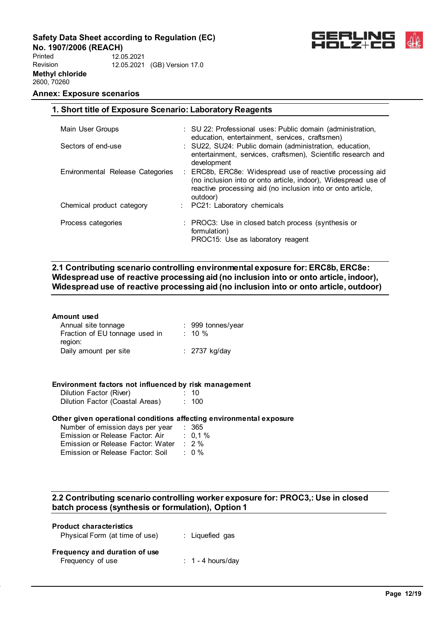**No. 1907/2006 (REACH)** Printed Revision **Methyl chloride** 2600, 70260 12.05.2021 12.05.2021 (GB) Version 17.0



# **Annex: Exposure scenarios**

| 1. Short title of Exposure Scenario: Laboratory Reagents |                                                                                                                                                                                                        |  |  |  |  |
|----------------------------------------------------------|--------------------------------------------------------------------------------------------------------------------------------------------------------------------------------------------------------|--|--|--|--|
|                                                          |                                                                                                                                                                                                        |  |  |  |  |
| Main User Groups                                         | : SU 22: Professional uses: Public domain (administration,<br>education, entertainment, services, craftsmen)                                                                                           |  |  |  |  |
| Sectors of end-use                                       | : SU22, SU24: Public domain (administration, education,<br>entertainment, services, craftsmen), Scientific research and<br>development                                                                 |  |  |  |  |
| Environmental Release Categories                         | : ERC8b, ERC8e: Widespread use of reactive processing aid<br>(no inclusion into or onto article, indoor), Widespread use of<br>reactive processing aid (no inclusion into or onto article,<br>outdoor) |  |  |  |  |
| Chemical product category                                | : PC21: Laboratory chemicals                                                                                                                                                                           |  |  |  |  |
| Process categories                                       | : PROC3: Use in closed batch process (synthesis or<br>formulation)<br>PROC15: Use as laboratory reagent                                                                                                |  |  |  |  |

# **2.1 Contributing scenario controlling environmental exposure for: ERC8b, ERC8e: Widespread use of reactive processing aid (no inclusion into or onto article, indoor), Widespread use of reactive processing aid (no inclusion into or onto article, outdoor)**

| Amount used                               |                   |
|-------------------------------------------|-------------------|
| Annual site tonnage                       | : 999 tonnes/year |
| Fraction of EU tonnage used in<br>region: | $\therefore$ 10 % |
| Daily amount per site                     | : $2737$ kg/day   |

### **Environment factors not influenced by risk management**

| Dilution Factor (River)         | : 10  |
|---------------------------------|-------|
| Dilution Factor (Coastal Areas) | : 100 |

#### **Other given operational conditions affecting environmental exposure**

| Number of emission days per year  | : 365            |
|-----------------------------------|------------------|
| Emission or Release Factor: Air   | $: 0.1 \%$       |
| Emission or Release Factor: Water | $\therefore$ 2 % |
| Emission or Release Factor: Soil  | $: 0\%$          |

# **2.2 Contributing scenario controlling worker exposure for: PROC3,: Use in closed batch process (synthesis or formulation), Option 1**

| <b>Product characteristics</b><br>Physical Form (at time of use) | : Liquefied gas              |
|------------------------------------------------------------------|------------------------------|
| Frequency and duration of use<br>Frequency of use                | $\therefore$ 1 - 4 hours/day |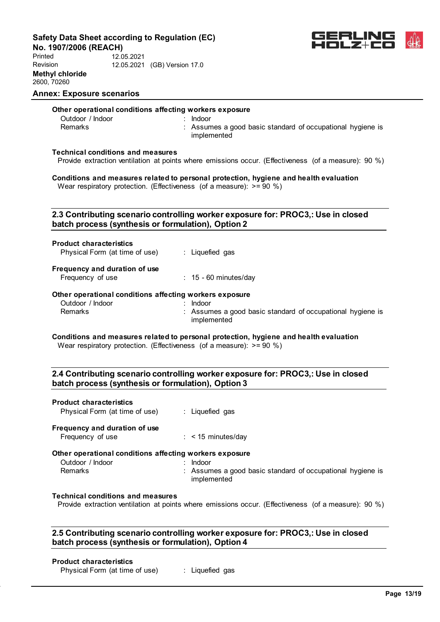**No. 1907/2006 (REACH)**

Printed Revision **Methyl chloride** 2600, 70260 12.05.2021 12.05.2021 (GB) Version 17.0



# **Annex: Exposure scenarios**

# **Other operational conditions affecting workers exposure**

Outdoor / Indoor : Indoor : Indoor : Indoor : Indoor : Indoor : Indoor : Indoor : Indoor : Indoor : Indoor : I<br>
Bernarks : Indoor : Indoor : Indoor : Indoor : Indoor : Indoor : Indoor : Indoor : Indoor : Indoor : Indoor :

: Assumes a good basic standard of occupational hygiene is implemented

# **Technical conditions and measures**

Provide extraction ventilation at points where emissions occur. (Effectiveness (of a measure): 90 %)

**Conditions and measures related to personal protection, hygiene and health evaluation** Wear respiratory protection. (Effectiveness (of a measure):  $> = 90 \%$ )

# **2.3 Contributing scenario controlling worker exposure for: PROC3,: Use in closed batch process (synthesis or formulation), Option 2**

| <b>Product characteristics</b> |                 |  |
|--------------------------------|-----------------|--|
| Physical Form (at time of use) | : Liquefied gas |  |
|                                |                 |  |

# **Frequency and duration of use**

Frequency of use : 15 - 60 minutes/day

# **Other operational conditions affecting workers exposure**

| Outdoor / Indoor | Indoor                                                     |
|------------------|------------------------------------------------------------|
| Remarks          | : Assumes a good basic standard of occupational hygiene is |
|                  | implemented                                                |

#### **Conditions and measures related to personal protection, hygiene and health evaluation** Wear respiratory protection. (Effectiveness (of a measure):  $> = 90 \%$ )

# **2.4 Contributing scenario controlling worker exposure for: PROC3,: Use in closed batch process (synthesis or formulation), Option 3**

# **Product characteristics**

Physical Form (at time of use) : Liquefied gas **Frequency and duration of use** Frequency of use : < 15 minutes/day

**Other operational conditions affecting workers exposure**

| Other operational conditions aπecting workers exposure |                                         |
|--------------------------------------------------------|-----------------------------------------|
| Outdoor / Indoor                                       | $:$ Indoor                              |
| Domoric                                                | . Acoumne a good hoois standard of seeu |

Remarks **Example 2** Assumes a good basic standard of occupational hygiene is implemented

# **Technical conditions and measures**

Provide extraction ventilation at points where emissions occur. (Effectiveness (of a measure): 90 %)

# **2.5 Contributing scenario controlling worker exposure for: PROC3,: Use in closed batch process (synthesis or formulation), Option 4**

# **Product characteristics**

Physical Form (at time of use) : Liquefied gas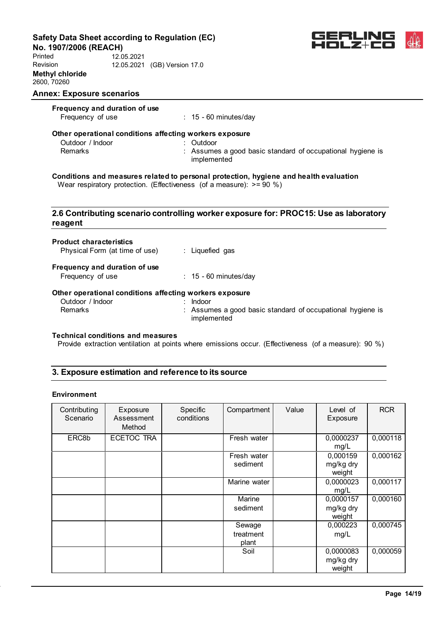**No. 1907/2006 (REACH)**

Printed Revision **Methyl chloride** 2600, 70260 12.05.2021 12.05.2021 (GB) Version 17.0



#### **Annex: Exposure scenarios**

| Frequency and duration of use |                                                                                       |
|-------------------------------|---------------------------------------------------------------------------------------|
| Frequency of use              | $: 15 - 60$ minutes/day                                                               |
|                               | Other operational conditions affecting workers exposure                               |
| Outdoor / Indoor              | $:$ Outdoor                                                                           |
| <b>Remarks</b>                | : Assumes a good basic standard of occupational hygiene is<br>implemented             |
|                               | Conditions and measures related to personal protection, hygiene and health evaluation |

Wear respiratory protection. (Effectiveness (of a measure): >= 90 %)

# **2.6 Contributing scenario controlling worker exposure for: PROC15: Use as laboratory reagent**

| <b>Product characteristics</b><br>Physical Form (at time of use) | : Liquefied gas                                                           |
|------------------------------------------------------------------|---------------------------------------------------------------------------|
| Frequency and duration of use<br>Frequency of use                | $: 15 - 60$ minutes/day                                                   |
| Other operational conditions affecting workers exposure          |                                                                           |
| Outdoor / Indoor                                                 | Indoor                                                                    |
| Remarks                                                          | : Assumes a good basic standard of occupational hygiene is<br>implemented |

#### **Technical conditions and measures**

Provide extraction ventilation at points where emissions occur. (Effectiveness (of a measure): 90 %)

# **3. Exposure estimation and reference to its source**

### **Environment**

| Contributing<br>Scenario | Exposure<br>Assessment<br>Method | Specific<br>conditions | Compartment                  | Value | Level of<br>Exposure             | <b>RCR</b> |
|--------------------------|----------------------------------|------------------------|------------------------------|-------|----------------------------------|------------|
| ERC8b                    | ECETOC TRA                       |                        | Fresh water                  |       | 0,0000237<br>mg/L                | 0,000118   |
|                          |                                  |                        | Fresh water<br>sediment      |       | 0,000159<br>mg/kg dry<br>weight  | 0,000162   |
|                          |                                  |                        | Marine water                 |       | 0,0000023<br>mg/L                | 0,000117   |
|                          |                                  |                        | Marine<br>sediment           |       | 0,0000157<br>mg/kg dry<br>weight | 0,000160   |
|                          |                                  |                        | Sewage<br>treatment<br>plant |       | 0,000223<br>mg/L                 | 0,000745   |
|                          |                                  |                        | Soil                         |       | 0,0000083<br>mg/kg dry<br>weight | 0,000059   |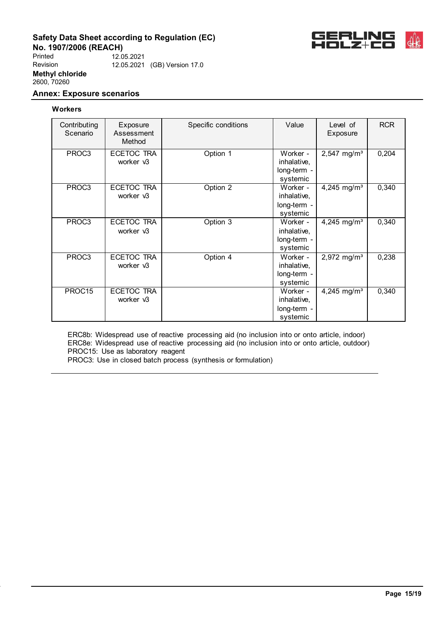

**No. 1907/2006 (REACH)** Printed Revision **Methyl chloride** 2600, 70260 12.05.2021 12.05.2021 (GB) Version 17.0

# **Annex: Exposure scenarios**

### **Workers**

| Contributing<br>Scenario | Exposure<br>Assessment<br>Method | Specific conditions | Value                                              | Level of<br>Exposure    | <b>RCR</b> |
|--------------------------|----------------------------------|---------------------|----------------------------------------------------|-------------------------|------------|
| PROC3                    | ECETOC TRA<br>worker v3          | Option 1            | Worker -<br>inhalative,<br>long-term -<br>systemic | 2,547 mg/m <sup>3</sup> | 0,204      |
| PROC3                    | ECETOC TRA<br>worker v3          | Option 2            | Worker -<br>inhalative,<br>long-term -<br>systemic | 4,245 mg/m <sup>3</sup> | 0,340      |
| PROC3                    | ECETOC TRA<br>worker v3          | Option 3            | Worker -<br>inhalative,<br>long-term -<br>systemic | 4,245 mg/m <sup>3</sup> | 0,340      |
| PROC3                    | <b>ECETOC TRA</b><br>worker v3   | Option 4            | Worker -<br>inhalative,<br>long-term -<br>systemic | 2,972 mg/m <sup>3</sup> | 0,238      |
| PROC15                   | ECETOC TRA<br>worker v3          |                     | Worker -<br>inhalative,<br>long-term -<br>systemic | 4,245 mg/m <sup>3</sup> | 0,340      |

ERC8b: Widespread use of reactive processing aid (no inclusion into or onto article, indoor) ERC8e: Widespread use of reactive processing aid (no inclusion into or onto article, outdoor) PROC15: Use as laboratory reagent PROC3: Use in closed batch process (synthesis or formulation)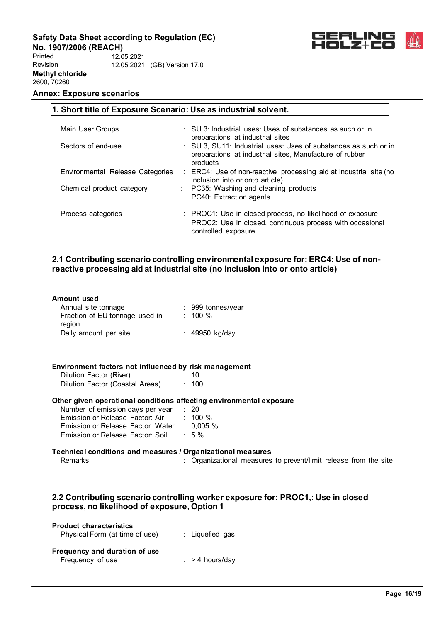**1. Short title of Exposure Scenario: Use as industrial solvent.**

**No. 1907/2006 (REACH)** Printed Revision **Methyl chloride** 12.05.2021 12.05.2021 (GB) Version 17.0



# **Annex: Exposure scenarios**

2600, 70260

| Main User Groups                 | $\therefore$ SU 3: Industrial uses: Uses of substances as such or in<br>preparations at industrial sites                                     |
|----------------------------------|----------------------------------------------------------------------------------------------------------------------------------------------|
| Sectors of end-use               | : SU 3, SU11: Industrial uses: Uses of substances as such or in<br>preparations at industrial sites, Manufacture of rubber<br>products       |
| Environmental Release Categories | : ERC4: Use of non-reactive processing aid at industrial site (no<br>inclusion into or onto article)                                         |
| Chemical product category        | : PC35: Washing and cleaning products<br>PC40: Extraction agents                                                                             |
| Process categories               | : PROC1: Use in closed process, no likelihood of exposure<br>PROC2: Use in closed, continuous process with occasional<br>controlled exposure |

# **2.1 Contributing scenario controlling environmental exposure for: ERC4: Use of nonreactive processing aid at industrial site (no inclusion into or onto article)**

| Annual site tonnage                                                 |                                                                  |
|---------------------------------------------------------------------|------------------------------------------------------------------|
| Fraction of EU tonnage used in : 100 %<br>region:                   |                                                                  |
| Daily amount per site                                               | : 49950 kg/day                                                   |
|                                                                     |                                                                  |
| Environment factors not influenced by risk management               |                                                                  |
| Dilution Factor (River)<br>$\sim$ 10                                |                                                                  |
| Dilution Factor (Coastal Areas) : 100                               |                                                                  |
| Other given operational conditions affecting environmental exposure |                                                                  |
| Number of emission days per year : 20                               |                                                                  |
| Emission or Release Factor: Air : 100 %                             |                                                                  |
| Emission or Release Factor: Water : 0,005 %                         |                                                                  |
| Emission or Release Factor: Soil : 5 %                              |                                                                  |
| Technical conditions and measures / Organizational measures         |                                                                  |
| Remarks                                                             | : Organizational measures to prevent/limit release from the site |
|                                                                     |                                                                  |

# **2.2 Contributing scenario controlling worker exposure for: PROC1,: Use in closed process, no likelihood of exposure, Option 1**

| <b>Product characteristics</b><br>Physical Form (at time of use) | : Liquefied gas            |
|------------------------------------------------------------------|----------------------------|
| Frequency and duration of use<br>Frequency of use                | $\therefore$ > 4 hours/day |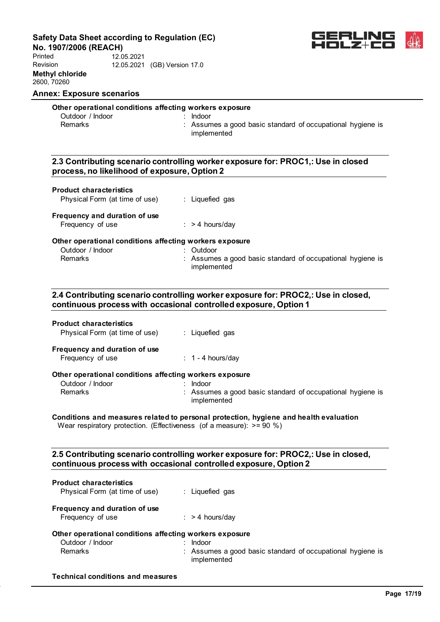**No. 1907/2006 (REACH)**

Printed Revision **Methyl chloride** 2600, 70260 12.05.2021 12.05.2021 (GB) Version 17.0



# **Annex: Exposure scenarios**

# **Other operational conditions affecting workers exposure**

| Outdoor / Indoor |  |
|------------------|--|
| Remarks          |  |

: Indoor : Assumes a good basic standard of occupational hygiene is implemented

# **2.3 Contributing scenario controlling worker exposure for: PROC1,: Use in closed process, no likelihood of exposure, Option 2**

# **Product characteristics**

| Physical Form (at time of use) | Liquefied gas |
|--------------------------------|---------------|
|--------------------------------|---------------|

# **Frequency and duration of use**

| Frequency of use | $:$ > 4 hours/day |
|------------------|-------------------|
|------------------|-------------------|

#### **Other operational conditions affecting workers exposure**

| Outdoor / Indoor | : Outdoor                                                                 |
|------------------|---------------------------------------------------------------------------|
| Remarks          | : Assumes a good basic standard of occupational hygiene is<br>implemented |

# **2.4 Contributing scenario controlling worker exposure for: PROC2,: Use in closed, continuous process with occasional controlled exposure, Option 1**

| <b>Product characteristics</b><br>Physical Form (at time of use) | : Liquefied gas                                                           |
|------------------------------------------------------------------|---------------------------------------------------------------------------|
| Frequency and duration of use<br>Frequency of use                | $\div$ 1 - 4 hours/day                                                    |
| Other operational conditions affecting workers exposure          |                                                                           |
| Outdoor / Indoor                                                 | Indoor                                                                    |
| Remarks                                                          | : Assumes a good basic standard of occupational hygiene is<br>implemented |

#### **Conditions and measures related to personal protection, hygiene and health evaluation** Wear respiratory protection. (Effectiveness (of a measure):  $> = 90 \%$ )

**2.5 Contributing scenario controlling worker exposure for: PROC2,: Use in closed, continuous process with occasional controlled exposure, Option 2**

| <b>Product characteristics</b><br>Physical Form (at time of use) | : Liquefied gas                                                           |
|------------------------------------------------------------------|---------------------------------------------------------------------------|
| Frequency and duration of use<br>Frequency of use                | $:$ > 4 hours/day                                                         |
| Other operational conditions affecting workers exposure          |                                                                           |
| Outdoor / Indoor                                                 | Indoor                                                                    |
| <b>Remarks</b>                                                   | : Assumes a good basic standard of occupational hygiene is<br>implemented |

#### **Technical conditions and measures**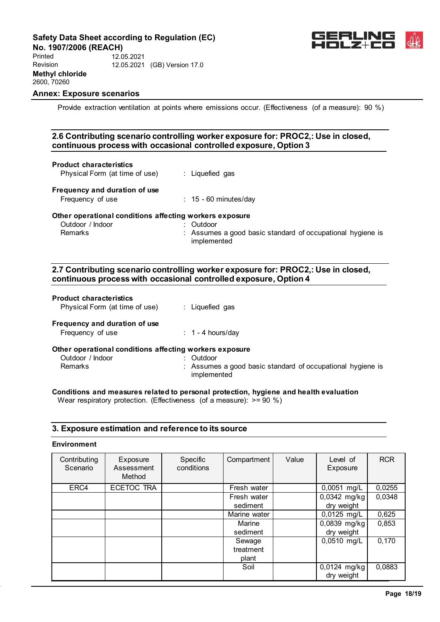

**No. 1907/2006 (REACH)** Printed Revision **Methyl chloride** 2600, 70260 12.05.2021 12.05.2021 (GB) Version 17.0

# **Annex: Exposure scenarios**

Provide extraction ventilation at points where emissions occur. (Effectiveness (of a measure): 90 %)

# **2.6 Contributing scenario controlling worker exposure for: PROC2,: Use in closed, continuous process with occasional controlled exposure, Option 3**

#### **Product characteristics**

| Physical Form (at time of use) | : Liquefied gas |
|--------------------------------|-----------------|
|--------------------------------|-----------------|

# **Frequency and duration of use**

| Frequency of use |  | $: 15 - 60$ minutes/day |
|------------------|--|-------------------------|
|------------------|--|-------------------------|

#### **Other operational conditions affecting workers exposure**

| Outdoor / Indoor<br>Remarks | : Outdoor<br>: Assumes a good basic standard of occupational hygiene is<br>implemented |
|-----------------------------|----------------------------------------------------------------------------------------|
|                             |                                                                                        |

# **2.7 Contributing scenario controlling worker exposure for: PROC2,: Use in closed, continuous process with occasional controlled exposure, Option 4**

#### **Product characteristics**

| Physical Form (at time of use)                          | : Liquefied gas                  |
|---------------------------------------------------------|----------------------------------|
| Frequency and duration of use                           |                                  |
| Frequency of use                                        | $: 1 - 4$ hours/day              |
| Other operational conditions affecting workers exposure |                                  |
| Outdoor / Indoor                                        | Outdoor                          |
| Remarks                                                 | $\cdot$ Assumes a good hasic sta |

Remarks **Example 20** Assumes a good basic standard of occupational hygiene is implemented

# **Conditions and measures related to personal protection, hygiene and health evaluation**

Wear respiratory protection. (Effectiveness (of a measure):  $> = 90 \%$ )

# **3. Exposure estimation and reference to its source**

### **Environment**

| Contributing<br>Scenario | Exposure<br>Assessment<br>Method | Specific<br>conditions | Compartment  | Value | Level of<br>Exposure | <b>RCR</b> |
|--------------------------|----------------------------------|------------------------|--------------|-------|----------------------|------------|
| ERC4                     | ECETOC TRA                       |                        | Fresh water  |       | 0,0051 mg/L          | 0,0255     |
|                          |                                  |                        | Fresh water  |       | 0,0342 mg/kg         | 0,0348     |
|                          |                                  |                        | sediment     |       | dry weight           |            |
|                          |                                  |                        | Marine water |       | 0,0125 mg/L          | 0,625      |
|                          |                                  |                        | Marine       |       | 0,0839 mg/kg         | 0,853      |
|                          |                                  |                        | sediment     |       | dry weight           |            |
|                          |                                  |                        | Sewage       |       | 0,0510 mg/L          | 0.170      |
|                          |                                  |                        | treatment    |       |                      |            |
|                          |                                  |                        | plant        |       |                      |            |
|                          |                                  |                        | Soil         |       | 0,0124 mg/kg         | 0,0883     |
|                          |                                  |                        |              |       | dry weight           |            |